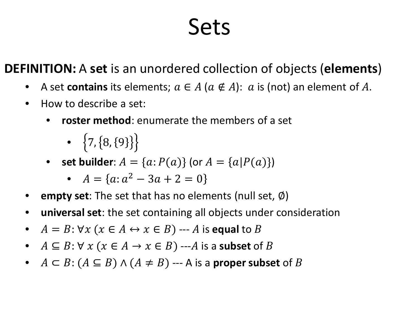### Sets

**DEFINITION:** A **set** is an unordered collection of objects (**elements**)

- A set **contains** its elements;  $a \in A$  ( $a \notin A$ ):  $a$  is (not) an element of A.
- How to describe a set:
	- **roster method**: enumerate the members of a set
		- $\{7, \{8, \{9\}\}\}\}$
	- **set builder**:  $A = \{a: P(a)\}$  (or  $A = \{a | P(a)\}\$

• 
$$
A = \{a: a^2 - 3a + 2 = 0\}
$$

- **empty set**: The set that has no elements (null set, Ø)
- **universal set**: the set containing all objects under consideration
- $A = B$ :  $\forall x (x \in A \leftrightarrow x \in B)$  --- A is **equal** to B
- $A \subseteq B$ :  $\forall x (x \in A \rightarrow x \in B)$  ---A is a **subset** of B
- $A \subset B$ :  $(A \subseteq B) \land (A \neq B)$  --- A is a **proper subset** of B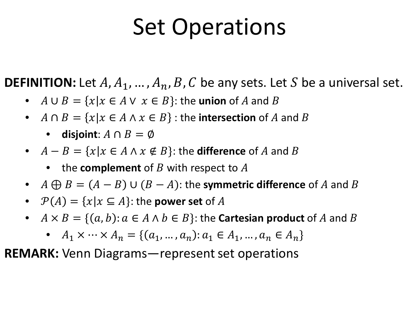### Set Operations

**DEFINITION:** Let  $A, A_1, ..., A_n, B, C$  be any sets. Let S be a universal set.

- $A \cup B = \{x | x \in A \lor x \in B\}$ : the **union** of A and B
- $A \cap B = \{x | x \in A \land x \in B\}$ : the **intersection** of A and B
	- **disjoint**:  $A \cap B = \emptyset$
- $A B = \{x | x \in A \land x \notin B\}$ : the **difference** of A and B
	- the **complement** of  $B$  with respect to  $A$
- $A \bigoplus B = (A B) \cup (B A)$ : the **symmetric difference** of A and B
- $\mathcal{P}(A) = \{x | x \subseteq A\}$ : the **power set** of A
- $A \times B = \{(a, b): a \in A \land b \in B\}$ : the **Cartesian product** of A and B
	- $A_1 \times \cdots \times A_n = \{ (a_1, ..., a_n) : a_1 \in A_1, ..., a_n \in A_n \}$

**REMARK:** Venn Diagrams—represent set operations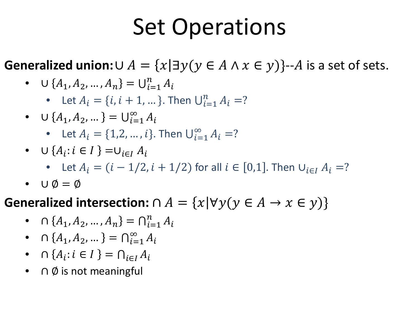### Set Operations

**Generalized union:**∪  $A = \{x | \exists y (y \in A \land x \in y)\}$ --A is a set of sets.

• 
$$
\cup \{A_1, A_2, ..., A_n\} = \bigcup_{i=1}^n A_i
$$

• Let  $A_i = \{i, i + 1, ...\}$ . Then  $\bigcup_{i=1}^n A_i = ?$ 

- $\cup$  { $A_1, A_2, ...$ } =  $\bigcup_{i=1}^{\infty} A_i$ 
	- Let  $A_i = \{1, 2, ..., i\}$ . Then  $\bigcup_{i=1}^{\infty} A_i = ?$
- $\cup$  { $A_i$ :  $i \in I$ } = $\cup_{i \in I} A_i$ 
	- Let  $A_i = (i 1/2, i + 1/2)$  for all  $i \in [0,1]$ . Then  $\cup_{i \in I} A_i = ?$
- $\cup \emptyset = \emptyset$

**Generalized intersection:**  $\cap A = \{x | \forall y (y \in A \rightarrow x \in y)\}\$ 

- $\cap$  { $A_1, A_2, ..., A_n$ } =  $\bigcap_{i=1}^n A_i$
- $\cap$  { $A_1, A_2, ...$ } =  $\bigcap_{i=1}^{\infty} A_i$
- $\cap$  { $A_i$ :  $i \in I$ } =  $\bigcap_{i \in I} A_i$
- ∩ Ø is not meaningful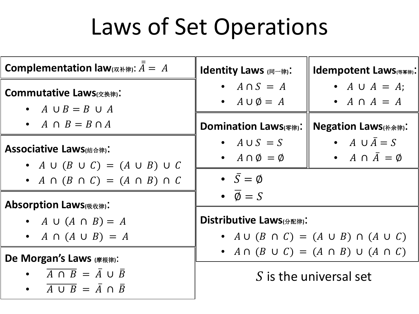# Laws of Set Operations

| <b>Complementation law</b> ( $\overline{x}$ and $\overline{A} = A$                                                 | <b>Identity Laws</b> (同一律):                          | Idempotent Laws(###):                                              |
|--------------------------------------------------------------------------------------------------------------------|------------------------------------------------------|--------------------------------------------------------------------|
| <b>Commutative Laws</b> (交換律):<br>• $A \cup B = B \cup A$                                                          | • $A \cap S = A$<br>• $A \cup \emptyset = A$         | • $A \cup A = A$ ;<br>• $A \cap A = A$                             |
| • $A \cap B = B \cap A$                                                                                            | <b>Domination Laws</b> (零律):                         | <b>Negation Laws</b> (补余律):                                        |
| <b>Associative Laws</b> (绪合律):<br>• $A \cup (B \cup C) = (A \cup B) \cup C$                                        | • $A \cup S = S$<br>• $A \cap \emptyset = \emptyset$ | • $A \cup \overline{A} = S$<br>• $A \cap \overline{A} = \emptyset$ |
| • $A \cap (B \cap C) = (A \cap B) \cap C$                                                                          | • $\bar{S} = \emptyset$                              |                                                                    |
| <b>Absorption Laws</b> (吸收律):                                                                                      | $\bullet \ \overline{\emptyset} = S$                 |                                                                    |
| • $A \cup (A \cap B) = A$<br>• $A \cap (A \cup B) = A$                                                             | Distributive Laws(分配律):                              | • $A \cup (B \cap C) = (A \cup B) \cap (A \cup C)$                 |
| De Morgan's Laws (摩根律):                                                                                            |                                                      | • $A \cap (B \cup C) = (A \cap B) \cup (A \cap C)$                 |
| • $\overline{A \cap B} = \overline{A} \cup \overline{B}$<br>$\overline{A \cup B} = \overline{A} \cap \overline{B}$ |                                                      | S is the universal set                                             |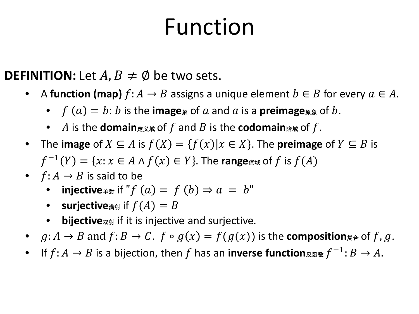### Function

**DEFINITION:** Let  $A, B \neq \emptyset$  be two sets.

- A **function (map)**  $f: A \rightarrow B$  assigns a unique element  $b \in B$  for every  $a \in A$ .
	- $f(a) = b$ : *b* is the **image** of *a* and *a* is a **preimage**
	- A is the **domain**  $\forall x \in \mathcal{Y}$  and B is the **codomain**  $\forall x \in \mathcal{Y}$ .
- The **image** of  $X \subseteq A$  is  $f(X) = \{f(x) | x \in X\}$ . The **preimage** of  $Y \subseteq B$  is  $f^{-1}(Y) = \{x : x \in A \land f(x) \in Y\}$ . The **range**  $\text{d}$  and  $f$  is  $f(A)$
- $f: A \rightarrow B$  is said to be
	- **injective** $\ast$  if "  $f(a) = f(b) \Rightarrow a = b$ "
	- **•** surjective<sub>满射</sub> if  $f(A) = B$
	- **bijective**双射 if it is injective and surjective.
- $g: A \to B$  and  $f: B \to C$ .  $f \circ g(x) = f(g(x))$  is the **composition**<sub> $\overline{g}$ </sub> and  $f, g$ .
- If  $f: A \to B$  is a bijection, then f has an **inverse function** $\mathbb{R}$   $\mathbb{R}$   $\mathbb{R}$   $\mathbb{R}$   $\mathbb{R}$   $\to A$ .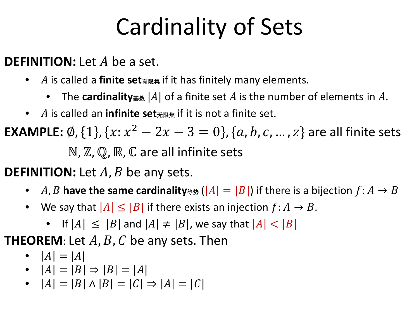# Cardinality of Sets

**DEFINITION:** Let A be a set.

- is called a **finite set**有限集 if it has finitely many elements.
	- The **cardinality**  $\mathbb{R}$  and  $|A|$  of a finite set A is the number of elements in A.
- is called an **infinite set**无限集 if it is not a finite set.

**EXAMPLE:**  $\emptyset$ , {1}, { $x: x^2 - 2x - 3 = 0$ }, { $a, b, c, ..., z$ } are all finite sets ℕ, ℤ, ℚ, ℝ, ℂ are all infinite sets

**DEFINITION:** Let A, B be any sets.

- A, B have the same cardinality  $\ast \mathfrak{p}$  ( $|A| = |B|$ ) if there is a bijection  $f : A \rightarrow B$
- We say that  $|A| \leq |B|$  if there exists an injection  $f: A \rightarrow B$ .
	- If  $|A| \leq |B|$  and  $|A| \neq |B|$ , we say that  $|A| < |B|$

**THEOREM:** Let  $A$ ,  $B$ ,  $C$  be any sets. Then

$$
\bullet \quad |A| = |A|
$$

• 
$$
|A| = |B| \Rightarrow |B| = |A|
$$

• 
$$
|A| = |B| \land |B| = |C| \Rightarrow |A| = |C|
$$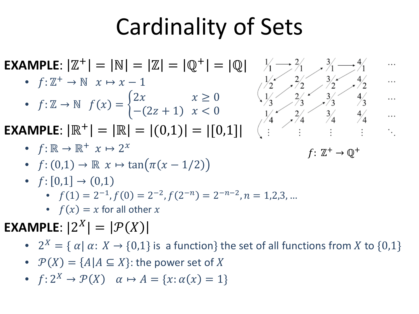### Cardinality of Sets

**EXAMPLE**:  $|\mathbb{Z}^+| = |\mathbb{N}| = |\mathbb{Z}| = |\mathbb{Q}^+| = |\mathbb{Q}|$   $\frac{1}{4}$ 

•  $f: \mathbb{Z}^+ \to \mathbb{N}$   $x \mapsto x - 1$ 

• 
$$
f: \mathbb{Z} \to \mathbb{N}
$$
  $f(x) = \begin{cases} 2x & x \ge 0 \\ -(2z+1) & x < 0 \end{cases}$ 

**EXAMPLE**:  $|\mathbb{R}^+| = |\mathbb{R}| = |(0,1)| = |[0,1]|$ 

- $f: \mathbb{R} \to \mathbb{R}^+$   $x \mapsto 2^x$  $f: \mathbb{Z}^+ \to \mathbb{Q}^+$
- $f: (0,1) \to \mathbb{R}$   $x \mapsto \tan(\pi(x-1/2))$
- $f: [0,1] \to (0,1)$ 
	- $f(1) = 2^{-1}$ ,  $f(0) = 2^{-2}$ ,  $f(2^{-n}) = 2^{-n-2}$ ,  $n = 1,2,3,...$
	- $f(x) = x$  for all other x
- **EXAMPLE**:  $|2^X| = |\mathcal{P}(X)|$ 
	- $2^X = \{ \alpha | \alpha: X \to \{0,1\} \text{ is a function} \}$  the set of all functions from X to  $\{0,1\}$
	- $\mathcal{P}(X) = \{A | A \subseteq X\}$ : the power set of X
	- $f: 2^X \rightarrow \mathcal{P}(X)$   $\alpha \mapsto A = \{x: \alpha(x) = 1\}$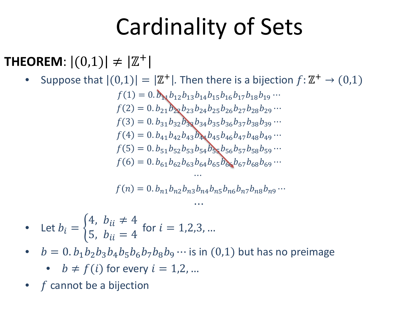## Cardinality of Sets

### **THEOREM:**  $|(0,1)| \neq |\mathbb{Z}^+|$

Suppose that  $|(0,1)| = |Z^+|$ . Then there is a bijection  $f: Z^+ \rightarrow (0,1)$  $f(1) = 0.$   $b_{\mathbf{N}}b_{12}b_{13}b_{14}b_{15}b_{16}b_{17}b_{18}b_{19} \cdots$  $f(2) = 0. b_{21} b_{22} b_{23} b_{24} b_{25} b_{26} b_{27} b_{28} b_{29} \cdots$  $f(3) = 0. b_{31}b_{32}b_{33}b_{34}b_{35}b_{36}b_{37}b_{38}b_{39}...$  $f(4) = 0. b_{41}b_{42}b_{43}b_{44}b_{45}b_{46}b_{47}b_{48}b_{49} \cdots$  $f(5) = 0. b_{51}b_{52}b_{53}b_{54}b_{55}b_{56}b_{57}b_{58}b_{59} \cdots$  $f(6) = 0. b_{61}b_{62}b_{63}b_{64}b_{65}b_{66}b_{67}b_{68}b_{69} \cdots$  $...$  $f(n) = 0. b_{n1} b_{n2} b_{n3} b_{n4} b_{n5} b_{n6} b_{n7} b_{n8} b_{n9} \cdots$  $...$ 

• Let 
$$
b_i = \begin{cases} 4, & b_{ii} \neq 4 \\ 5, & b_{ii} = 4 \end{cases}
$$
 for  $i = 1, 2, 3, ...$ 

- $b = 0$ .  $b_1b_2b_3b_4b_5b_6b_7b_8b_9 \cdots$  is in (0,1) but has no preimage
	- $b \neq f(i)$  for every  $i = 1, 2, ...$
- $f$  cannot be a bijection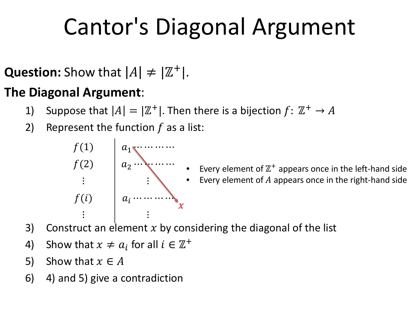# Cantor's Diagonal Argument

**Question:** Show that  $|A| \neq |\mathbb{Z}^+|$ .

#### **The Diagonal Argument**:

- 1) Suppose that  $|A| = |\mathbb{Z}^+|$ . Then there is a bijection  $f: \mathbb{Z}^+ \to A$
- 2) Represent the function  $f$  as a list:



• Every element of  $\mathbb{Z}^{+}$  appears once in the left-hand side • Every element of  $A$  appears once in the right-hand side

- 3) Construct an element  $x$  by considering the diagonal of the list
- 4) Show that  $x \neq a_i$  for all  $i \in \mathbb{Z}^+$
- 5) Show that  $x \in A$
- 6) 4) and 5) give a contradiction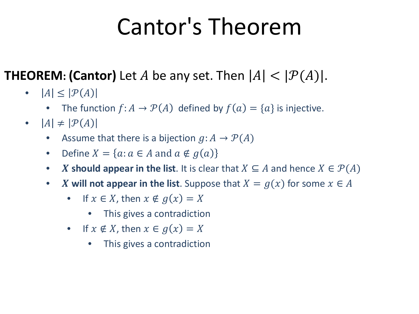## Cantor's Theorem

### **THEOREM: (Cantor)** Let A be any set. Then  $|A| < |\mathcal{P}(A)|$ .

- $|A| \leq |\mathcal{P}(A)|$ 
	- The function  $f: A \to \mathcal{P}(A)$  defined by  $f(a) = \{a\}$  is injective.
- $|A| \neq |\mathcal{P}(A)|$ 
	- Assume that there is a bijection  $g: A \to \mathcal{P}(A)$
	- Define  $X = \{a : a \in A \text{ and } a \notin g(a)\}\$
	- **X** should appear in the list. It is clear that  $X \subseteq A$  and hence  $X \in \mathcal{P}(A)$
	- **X** will not appear in the list. Suppose that  $X = g(x)$  for some  $x \in A$ 
		- If  $x \in X$ , then  $x \notin g(x) = X$ 
			- This gives a contradiction
		- If  $x \notin X$ , then  $x \in g(x) = X$ 
			- This gives a contradiction